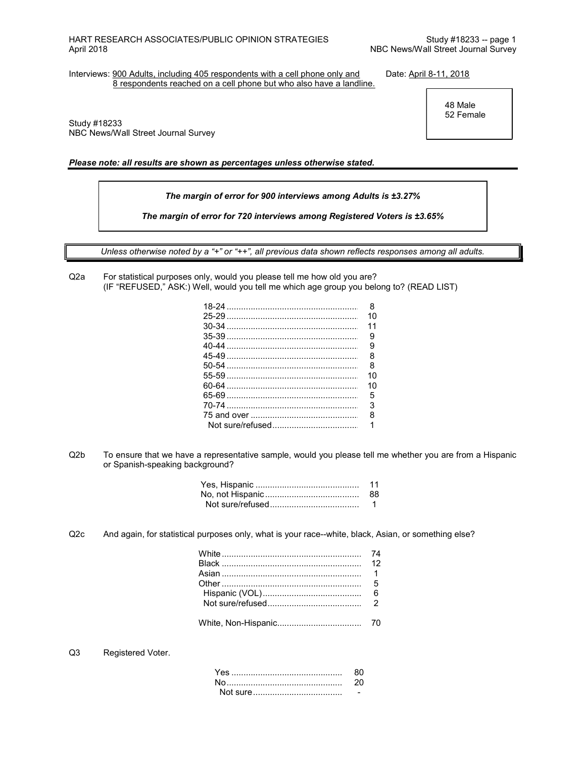## HART RESEARCH ASSOCIATES/PUBLIC OPINION STRATEGIES Study #18233 -- page 1<br>April 2018 -- NBC News/Wall Street Journal Survey

Interviews: 900 Adults, including 405 respondents with a cell phone only and Date: April 8-11, 2018 8 respondents reached on a cell phone but who also have a landline.

 48 Male 52 Female

Study #18233 NBC News/Wall Street Journal Survey

Please note: all results are shown as percentages unless otherwise stated.

The margin of error for 900 interviews among Adults is ±3.27%

The margin of error for 720 interviews among Registered Voters is ±3.65%

Unless otherwise noted by a "+" or "++", all previous data shown reflects responses among all adults.

Q2a For statistical purposes only, would you please tell me how old you are? (IF "REFUSED," ASK:) Well, would you tell me which age group you belong to? (READ LIST)

| 8  |  |
|----|--|
| 10 |  |
| 11 |  |
| 9  |  |
| 9  |  |
| 8  |  |
|    |  |
| 10 |  |
| 10 |  |
| 5  |  |
| 3  |  |
| 8  |  |
|    |  |
|    |  |

Q2b To ensure that we have a representative sample, would you please tell me whether you are from a Hispanic or Spanish-speaking background?

| 11  |
|-----|
| 88. |
|     |

Q2c And again, for statistical purposes only, what is your race--white, black, Asian, or something else?

Q3 Registered Voter.

| 80  |
|-----|
| -20 |
|     |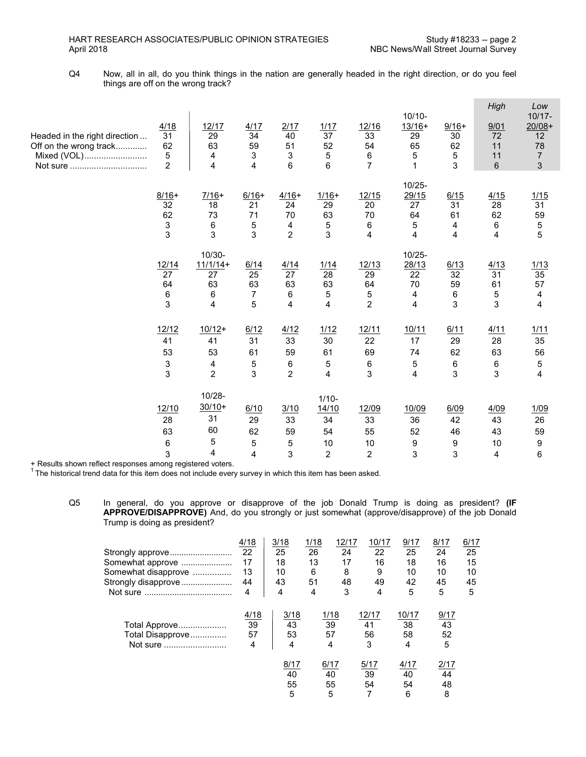Q4 Now, all in all, do you think things in the nation are generally headed in the right direction, or do you feel things are off on the wrong track?

| Headed in the right direction                     | 4/18<br>$\overline{31}$   | 12/17<br>29                                     | 4/17<br>34                           | 2/17<br>40      | 1/17<br>37      | 12/16<br>33               | $10/10 -$<br>$13/16+$<br>29 | $9/16+$<br>30   | High<br>9/01<br>72 | Low<br>$10/17 -$<br>$20/08 +$<br>12 |
|---------------------------------------------------|---------------------------|-------------------------------------------------|--------------------------------------|-----------------|-----------------|---------------------------|-----------------------------|-----------------|--------------------|-------------------------------------|
| Off on the wrong track<br>Mixed (VOL)<br>Not sure | 62<br>5<br>$\overline{2}$ | 63<br>$\overline{\mathbf{4}}$<br>$\overline{4}$ | 59<br>$\ensuremath{\mathsf{3}}$<br>4 | 51<br>3<br>6    | 52<br>5<br>6    | 54<br>6<br>$\overline{7}$ | 65<br>5<br>$\mathbf{1}$     | 62<br>5<br>3    | 11<br>11<br>6      | 78<br>$\overline{7}$<br>3           |
|                                                   |                           |                                                 |                                      |                 |                 |                           | 10/25-                      |                 |                    |                                     |
|                                                   | $8/16+$                   | $7/16+$                                         | $6/16+$                              | $4/16+$         | $1/16+$         | 12/15                     | 29/15                       | 6/15            | 4/15               | 1/15                                |
|                                                   | 32<br>62                  | 18<br>73                                        | 21<br>71                             | 24<br>70        | 29<br>63        | 20<br>70                  | 27<br>64                    | 31<br>61        | 28<br>62           | 31                                  |
|                                                   | 3                         | $\,6\,$                                         | $\mathbf 5$                          | 4               | 5               | 6                         | 5                           | 4               | 6                  | 59                                  |
|                                                   | 3                         | 3                                               | 3                                    | $\overline{2}$  | 3               | 4                         | 4                           | 4               | 4                  | $\frac{5}{5}$                       |
|                                                   |                           | 10/30-                                          |                                      |                 |                 |                           | $10/25 -$                   |                 |                    |                                     |
|                                                   | 12/14                     | $11/1/14+$                                      | 6/14                                 | 4/14            | 1/14            | 12/13                     | 28/13                       | 6/13            | 4/13               | 1/13                                |
|                                                   | 27                        | 27                                              | $\overline{25}$                      | $\overline{27}$ | $\overline{28}$ | 29                        | 22                          | $\overline{32}$ | 31                 | 35                                  |
|                                                   | 64<br>6                   | 63<br>6                                         | 63<br>$\overline{7}$                 | 63<br>6         | 63<br>5         | 64<br>5                   | 70<br>4                     | 59<br>6         | 61<br>5            | 57                                  |
|                                                   | 3                         | 4                                               | 5                                    | $\overline{4}$  | 4               | $\overline{2}$            | 4                           | 3               | 3                  | 4<br>4                              |
|                                                   |                           |                                                 |                                      |                 |                 |                           |                             |                 |                    |                                     |
|                                                   | 12/12                     | $10/12+$                                        | 6/12                                 | 4/12            | 1/12            | 12/11                     | 10/11                       | 6/11            | 4/11               | 1/11                                |
|                                                   | 41                        | 41                                              | 31                                   | 33              | 30              | 22                        | 17                          | 29              | 28                 | 35                                  |
|                                                   | 53                        | 53                                              | 61                                   | 59              | 61              | 69                        | 74                          | 62              | 63                 | 56                                  |
|                                                   | 3                         | $\overline{\mathbf{4}}$                         | $\mathbf 5$                          | 6               | 5               | 6                         | 5                           | 6               | 6                  | 5                                   |
|                                                   | 3                         | $\overline{2}$                                  | 3                                    | $\overline{2}$  | 4               | 3                         | 4                           | 3               | 3                  | 4                                   |
|                                                   |                           | $10/28 -$                                       |                                      |                 | $1/10-$         |                           |                             |                 |                    |                                     |
|                                                   | 12/10                     | $30/10+$                                        | 6/10                                 | 3/10            | 14/10           | 12/09                     | 10/09                       | 6/09            | 4/09               | 1/09                                |
|                                                   | 28                        | 31                                              | 29                                   | 33              | 34              | 33                        | 36                          | 42              | 43                 | 26                                  |
|                                                   | 63                        | 60                                              | 62                                   | 59              | 54              | 55                        | 52                          | 46              | 43                 | 59                                  |
|                                                   | 6                         | 5                                               | 5                                    | 5               | 10              | 10                        | 9                           | 9               | 10                 | 9                                   |
|                                                   | 3                         | 4                                               | 4                                    | 3               | $\overline{2}$  | $\overline{2}$            | 3                           | 3               | 4                  | 6                                   |

+ Results shown reflect responses among registered voters.<br><sup>1</sup> The historical trend data for this item does not include every survey in which this item has been asked.

Q5 In general, do you approve or disapprove of the job Donald Trump is doing as president? (IF APPROVE/DISAPPROVE) And, do you strongly or just somewhat (approve/disapprove) of the job Donald Trump is doing as president?

|                     | 4/18 | 3/18 | 1/18 | 12/17 | 10/17       | 9/17  | 8/17 | 6/17 |
|---------------------|------|------|------|-------|-------------|-------|------|------|
| Strongly approve    | 22   | 25   | 26   | 24    | 22          | 25    | 24   | 25   |
| Somewhat approve    | 17   | 18   | 13   | 17    | 16          | 18    | 16   | 15   |
| Somewhat disapprove | 13   | 10   | 6    | 8     | 9           | 10    | 10   | 10   |
| Strongly disapprove | 44   | 43   | 51   | 48    | 49          | 42    | 45   | 45   |
| Not sure            | 4    | 4    | 4    | 3     | 4           | 5     | 5    | 5    |
|                     | 4/18 | 3/18 |      | 1/18  | 12/17       | 10/17 | 9/17 |      |
| Total Approve       | 39   | 43   |      | 39    | 41          | 38    | 43   |      |
| Total Disapprove    | 57   | 53   |      | 57    | 56          | 58    | 52   |      |
| Not sure            | 4    | 4    |      | 4     | 3           | 4     | 5    |      |
|                     |      | 8/17 |      | 6/17  | <u>5/17</u> | 4/17  | 2/17 |      |
|                     |      | 40   |      | 40    | 39          | 40    | 44   |      |
|                     |      | 55   |      | 55    | 54          | 54    | 48   |      |
|                     |      | 5    |      | 5     |             | 6     | 8    |      |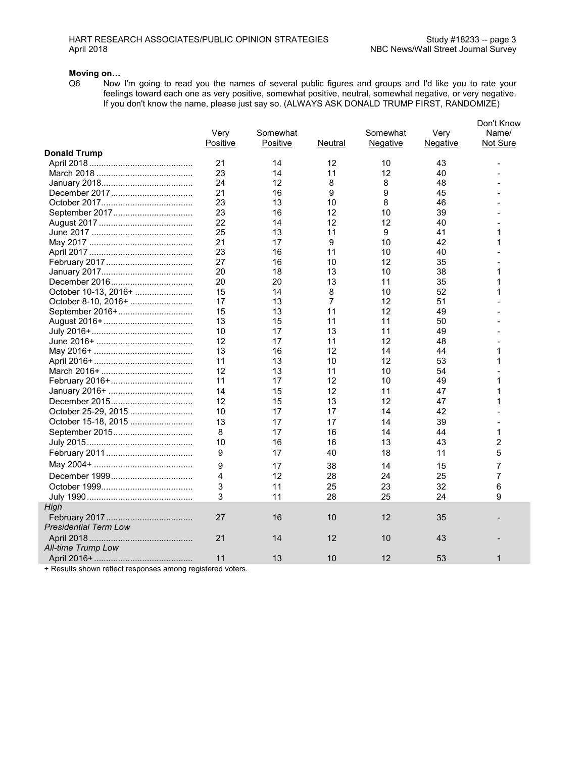## Moving on...<br>Q6 Now

Now I'm going to read you the names of several public figures and groups and I'd like you to rate your feelings toward each one as very positive, somewhat positive, neutral, somewhat negative, or very negative. If you don't know the name, please just say so. (ALWAYS ASK DONALD TRUMP FIRST, RANDOMIZE)

|                              | Very<br>Positive | Somewhat<br>Positive | Neutral | Somewhat<br><b>Negative</b> | Very<br>Negative | Don't Know<br>Name/<br>Not Sure |
|------------------------------|------------------|----------------------|---------|-----------------------------|------------------|---------------------------------|
| <b>Donald Trump</b>          |                  |                      |         |                             |                  |                                 |
|                              | 21               | 14                   | 12      | 10                          | 43               |                                 |
|                              | 23               | 14                   | 11      | 12                          | 40               |                                 |
|                              | 24               | 12                   | 8       | 8                           | 48               |                                 |
|                              | 21               | 16                   | 9       | 9                           | 45               |                                 |
|                              | 23               | 13                   | 10      | 8                           | 46               |                                 |
|                              | 23               | 16                   | 12      | 10                          | 39               |                                 |
|                              | 22               | 14                   | 12      | 12                          | 40               |                                 |
|                              | 25               | 13                   | 11      | 9                           | 41               | 1                               |
|                              | 21               | 17                   | 9       | 10                          | 42               | 1                               |
|                              | 23               | 16                   | 11      | 10                          | 40               |                                 |
|                              | 27               | 16                   | 10      | 12                          | 35               |                                 |
|                              | 20               | 18                   | 13      | 10                          | 38               | 1                               |
|                              | 20               | 20                   | 13      | 11                          | 35               | 1                               |
|                              | 15               | 14                   | 8       | 10                          | 52               | 1                               |
|                              | 17               | 13                   | 7       | 12                          | 51               |                                 |
|                              | 15               | 13                   | 11      | 12                          | 49               |                                 |
|                              | 13               | 15                   | 11      | 11                          | 50               |                                 |
|                              | 10               | 17                   | 13      | 11                          | 49               |                                 |
|                              | 12               | 17                   | 11      | 12                          | 48               |                                 |
|                              | 13               | 16                   | 12      | 14                          | 44               | 1                               |
|                              | 11               | 13                   | 10      | 12                          | 53               | 1                               |
|                              | 12               | 13                   | 11      | 10                          | 54               |                                 |
|                              | 11               | 17                   | 12      | 10                          | 49               | 1                               |
|                              | 14               | 15                   | 12      | 11                          | 47               | 1                               |
|                              | 12               | 15                   | 13      | 12                          | 47               | 1                               |
| October 25-29, 2015          | 10               | 17                   | 17      | 14                          | 42               |                                 |
| October 15-18, 2015          | 13               | 17                   | 17      | 14                          | 39               |                                 |
|                              | 8                | 17                   | 16      | 14                          | 44               | 1                               |
|                              | 10               | 16                   | 16      | 13                          | 43               | 2                               |
|                              | 9                | 17                   | 40      | 18                          | 11               | 5                               |
|                              | 9                | 17                   | 38      | 14                          | 15               | 7                               |
|                              | 4                | 12                   | 28      | 24                          | 25               | 7                               |
|                              | 3                | 11                   | 25      | 23                          | 32               | 6                               |
|                              | 3                | 11                   | 28      | 25                          | 24               | 9                               |
| High                         |                  |                      |         |                             |                  |                                 |
|                              | 27               | 16                   | 10      | 12                          | 35               |                                 |
| <b>Presidential Term Low</b> |                  |                      |         |                             |                  |                                 |
| All-time Trump Low           | 21               | 14                   | 12      | 10                          | 43               |                                 |
|                              | 11               | 13                   | 10      | 12                          | 53               | 1                               |
|                              |                  |                      |         |                             |                  |                                 |

+ Results shown reflect responses among registered voters.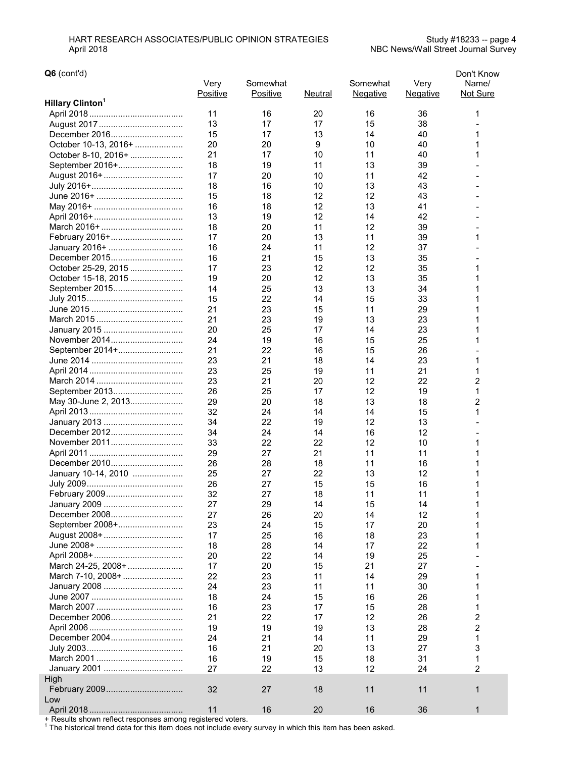Don't Know

Q6 (cont'd)

|                        | Very            | Somewhat        |                | Somewhat        | Very            | Name/    |
|------------------------|-----------------|-----------------|----------------|-----------------|-----------------|----------|
| <b>Hillary Clinton</b> | <b>Positive</b> | <b>Positive</b> | <b>Neutral</b> | <b>Negative</b> | <b>Negative</b> | Not Sure |
|                        | 11              | 16              | 20             | 16              | 36              | 1        |
|                        | 13              | 17              | 17             | 15              | 38              |          |
| December 2016          | 15              | 17              | 13             | 14              | 40              | 1        |
| October 10-13, 2016+   | 20              | 20              | 9              | 10              | 40              | 1        |
| October 8-10, 2016+    | 21              | 17              | 10             | 11              | 40              | 1        |
| September 2016+        | 18              | 19              | 11             | 13              | 39              |          |
| August 2016+           | 17              | 20              | 10             | 11              | 42              |          |
|                        | 18              | 16              | 10             | 13              | 43              |          |
|                        | 15              | 18              | 12             | 12              | 43              |          |
|                        | 16              | 18              | 12             | 13              | 41              |          |
|                        | 13              | 19              | 12             | 14              | 42              |          |
|                        | 18              | 20              | 11             | 12              | 39              |          |
|                        |                 |                 |                |                 |                 |          |
| February 2016+         | 17              | 20              | 13             | 11              | 39              | 1        |
| January 2016+          | 16              | 24              | 11             | 12              | 37              |          |
| December 2015          | 16              | 21              | 15             | 13              | 35              |          |
| October 25-29, 2015    | 17              | 23              | 12             | 12              | 35              |          |
| October 15-18, 2015    | 19              | 20              | 12             | 13              | 35              |          |
| September 2015         | 14              | 25              | 13             | 13              | 34              |          |
|                        | 15              | 22              | 14             | 15              | 33              |          |
|                        | 21              | 23              | 15             | 11              | 29              |          |
|                        | 21              | 23              | 19             | 13              | 23              |          |
| January 2015           | 20              | 25              | 17             | 14              | 23              |          |
| November 2014          | 24              | 19              | 16             | 15              | 25              |          |
| September 2014+        | 21              | 22              | 16             | 15              | 26              |          |
|                        | 23              | 21              | 18             | 14              | 23              | 1        |
|                        | 23              | 25              | 19             | 11              | 21              | 1        |
|                        | 23              | 21              | 20             | 12              | 22              | 2        |
| September 2013         | 26              | 25              | 17             | 12              | 19              | 1        |
| May 30-June 2, 2013    | 29              | 20              | 18             | 13              | 18              | 2        |
|                        | 32              | 24              | 14             | 14              | 15              | 1        |
| January 2013           | 34              | 22              | 19             | 12              | 13              |          |
| December 2012          | 34              | 24              | 14             | 16              | 12              |          |
| November 2011          | 33              | 22              | 22             | 12              | 10              | 1        |
|                        | 29              | 27              | 21             | 11              | 11              |          |
| December 2010          | 26              | 28              | 18             | 11              | 16              |          |
| January 10-14, 2010    | 25              | 27              | 22             | 13              | 12              |          |
|                        | 26              | 27              | 15             | 15              | 16              |          |
| February 2009          | 32              | 27              | 18             | 11              | 11              |          |
|                        | 27              | 29              | 14             | 15              | 14              |          |
| December 2008          | 27              | 26              | 20             | 14              | 12              | 1        |
| September 2008+        | 23              | 24              | 15             | 17              | 20              | 1        |
|                        | 17              | 25              | 16             | 18              | 23              | 1        |
|                        | 18              | 28              | 14             | 17              | 22              | 1        |
|                        | 20              | 22              | 14             | 19              | 25              |          |
| March 24-25, 2008+     | 17              | 20              | 15             | 21              | 27              |          |
| March 7-10, 2008+      | 22              | 23              | 11             | 14              | 29              | 1        |
|                        | 24              | 23              | 11             | 11              | 30              | 1        |
|                        | 18              | 24              | 15             | 16              | 26              | 1        |
|                        | 16              | 23              | 17             | 15              | 28              | 1        |
| December 2006          | 21              | 22              | 17             | 12              | 26              | 2        |
|                        | 19              | 19              | 19             | 13              | 28              | 2        |
| December 2004          | 24              | 21              | 14             | 11              | 29              | 1        |
|                        | 16              | 21              | 20             | 13              | 27              | 3        |
|                        | 16              | 19              | 15             | 18              | 31              | 1        |
|                        | 27              | 22              | 13             | 12              | 24              | 2        |
| High                   |                 |                 |                |                 |                 |          |
|                        | 32              | 27              | 18             | 11              | 11              | 1        |
| Low                    |                 |                 |                |                 |                 |          |
|                        | 11              | 16              | 20             | 16              | 36              | 1        |

+ Results shown reflect responses among registered voters.<br><sup>1</sup> The historical trend data for this item does not include every survey in which this item has been asked.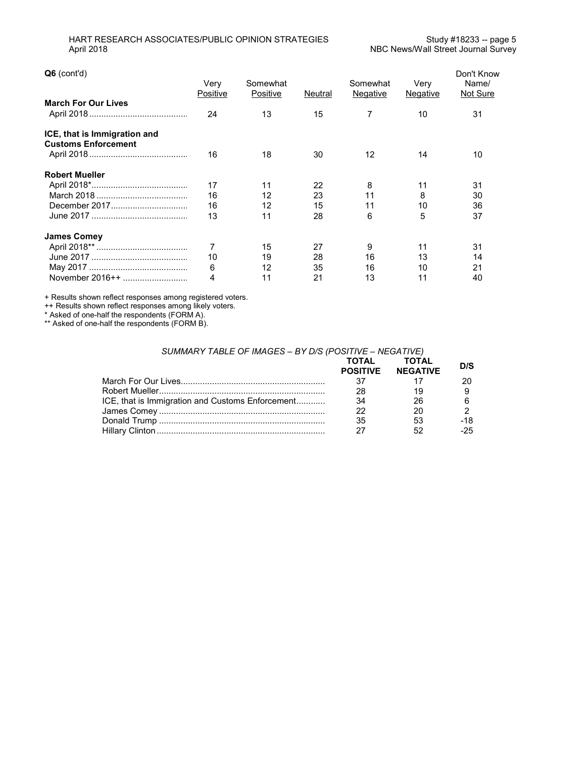| $Q6$ (cont'd)                |                  |                      |         |                      |                  | Don't Know        |
|------------------------------|------------------|----------------------|---------|----------------------|------------------|-------------------|
|                              | Very<br>Positive | Somewhat<br>Positive | Neutral | Somewhat<br>Negative | Very<br>Negative | Name/<br>Not Sure |
| <b>March For Our Lives</b>   |                  |                      |         |                      |                  |                   |
|                              | 24               | 13                   | 15      | 7                    | 10               | 31                |
| ICE, that is Immigration and |                  |                      |         |                      |                  |                   |
| <b>Customs Enforcement</b>   |                  |                      |         |                      |                  |                   |
|                              | 16               | 18                   | 30      | 12                   | 14               | 10                |
| <b>Robert Mueller</b>        |                  |                      |         |                      |                  |                   |
|                              | 17               | 11                   | 22      | 8                    | 11               | 31                |
|                              | 16               | 12                   | 23      | 11                   | 8                | 30                |
|                              | 16               | 12                   | 15      | 11                   | 10               | 36                |
|                              | 13               | 11                   | 28      | 6                    | 5                | 37                |
| <b>James Comey</b>           |                  |                      |         |                      |                  |                   |
|                              |                  | 15                   | 27      | 9                    | 11               | 31                |
|                              | 10               | 19                   | 28      | 16                   | 13               | 14                |
|                              | 6                | 12                   | 35      | 16                   | 10               | 21                |
| November 2016++              | 4                | 11                   | 21      | 13                   | 11               | 40                |

+ Results shown reflect responses among registered voters.

++ Results shown reflect responses among likely voters.

\* Asked of one-half the respondents (FORM A).

| SUMMARY TABLE OF IMAGES - BY D/S (POSITIVE - NEGATIVE) |    |                                         |     |  |  |  |
|--------------------------------------------------------|----|-----------------------------------------|-----|--|--|--|
|                                                        |    | TOTAL TOTAL<br><b>POSITIVE NEGATIVE</b> | D/S |  |  |  |
|                                                        | 37 |                                         | 20  |  |  |  |
|                                                        | 28 | 19                                      |     |  |  |  |
| ICE, that is Immigration and Customs Enforcement       | 34 | 26                                      |     |  |  |  |
|                                                        | 22 | 20                                      |     |  |  |  |
|                                                        | 35 | 53                                      | -18 |  |  |  |
|                                                        | 27 |                                         | -25 |  |  |  |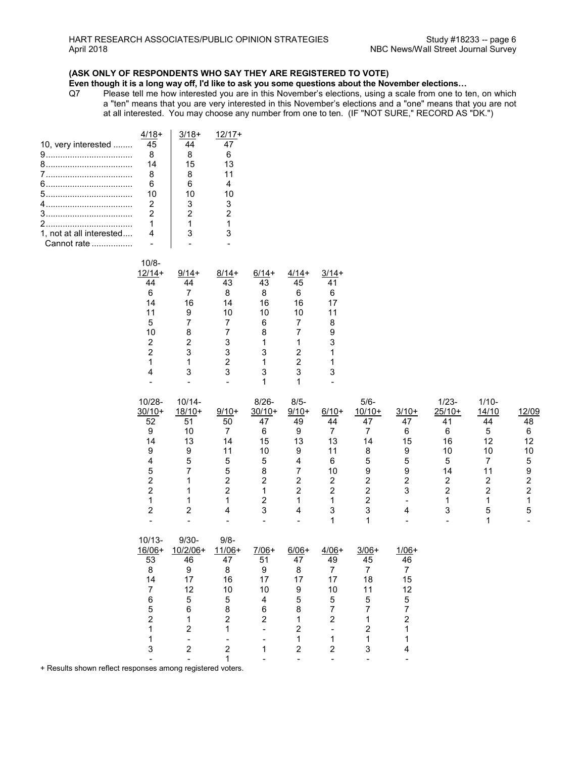### (ASK ONLY OF RESPONDENTS WHO SAY THEY ARE REGISTERED TO VOTE)

### Even though it is a long way off, I'd like to ask you some questions about the November elections…

Q7 Please tell me how interested you are in this November's elections, using a scale from one to ten, on which a "ten" means that you are very interested in this November's elections and a "one" means that you are not at all interested. You may choose any number from one to ten. (IF "NOT SURE," RECORD AS "DK.")

|                          | 4/18+ | $3/18+$ | $12/17+$ |
|--------------------------|-------|---------|----------|
| 10, very interested      | 45    | 44      | 47       |
|                          | 8     | 8       | 6        |
|                          | 14    | 15      | 13       |
|                          | 8     | 8       |          |
|                          | 6     | 6       |          |
|                          | 10    | 10      | 10       |
|                          | 2     | 3       | 3        |
|                          | 2     | 2       | 2        |
|                          |       |         |          |
| 1, not at all interested |       | 3       | 3        |
| Cannot rate              |       |         |          |

| $10/8 -$ |         |         |         |         |         |
|----------|---------|---------|---------|---------|---------|
| $12/14+$ | $9/14+$ | $8/14+$ | $6/14+$ | $4/14+$ | $3/14+$ |
| 44       | 44      | 43      | 43      | 45      | 41      |
| 6        |         | 8       | 8       | 6       | 6       |
| 14       | 16      | 14      | 16      | 16      | 17      |
| 11       | 9       | 10      | 10      | 10      | 11      |
| 5        |         |         | 6       |         | 8       |
| 10       | 8       |         | 8       |         |         |
| 2        | 2       |         |         |         |         |
| ◠        | 3       | 3       | 3       |         |         |
|          |         | ົ       |         | っ       |         |
|          | J.      | 3       |         |         |         |
|          |         |         |         |         |         |

 3 2 2 1 2 2 3 4 - 1 -  $\sim$  -  $\sim$  -  $\sim$  -  $\sim$  1  $\sim$  -  $\sim$  -  $\sim$  -  $\sim$  -  $\sim$  -  $\sim$ 

 $-$  -  $-$  1  $-$  1  $-$  1  $-$ 

| 10/28-    | $10/14 -$  |                | $8/26 -$                 | $8/5 -$ |         | $5/6-$                  |         | $1/23 -$ | $1/10-$ |                |
|-----------|------------|----------------|--------------------------|---------|---------|-------------------------|---------|----------|---------|----------------|
| $30/10+$  | $18/10+$   | $9/10+$        | $30/10+$                 | $9/10+$ | $6/10+$ | $10/10+$                | $3/10+$ | $25/10+$ | 14/10   | 12/09          |
| 52        | 51         | 50             | 47                       | 49      | 44      | 47                      | 47      | 41       | 44      | 48             |
| 9         | 10         |                | 6                        | 9       | 7       | 7                       | 6       | 6        | 5       | 6              |
| 14        | 13         | 14             | 15                       | 13      | 13      | 14                      | 15      | 16       | 12      | 12             |
| 9         | 9          | 11             | 10                       | 9       | 11      | 8                       | 9       | 10       | 10      | 10             |
|           | 5          | 5              | 5                        | 4       | 6       | 5                       | 5       | 5        |         | 5              |
| 5         |            | 5              | 8                        |         | 10      | 9                       | 9       | 14       | 11      | 9              |
|           |            | $\overline{2}$ | $\overline{2}$           | 2       | 2       | $\overline{\mathbf{c}}$ | 2       | 2        | 2       | 2              |
|           |            | 2              |                          |         | 2       | 2                       | 3       | 2        | 2       | $\overline{2}$ |
|           |            |                | $\overline{c}$           |         |         | $\overline{c}$          |         |          |         |                |
|           | 2          | 4              | 3                        | 4       | 3       | 3                       | 4       | 3        | 5       | 5              |
|           |            |                |                          |         |         |                         |         |          |         |                |
|           |            |                |                          |         |         |                         |         |          |         |                |
| $10/13 -$ | $9/30 -$   | $9/8 -$        |                          |         |         |                         |         |          |         |                |
| $16/06+$  | $10/2/06+$ | $11/06+$       | $7/06+$                  | $6/06+$ | $4/06+$ | $3/06+$                 | $1/06+$ |          |         |                |
| 53        | 46         | 47             | 51                       | 47      | 49      | 45                      | 46      |          |         |                |
| 8         | 9          | 8              | 9                        | 8       | 7       | 7                       | 7       |          |         |                |
| 14        | 17         | 16             | 17                       | 17      | 17      | 18                      | 15      |          |         |                |
|           | 12         | 10             | 10                       | 9       | 10      | 11                      | 12      |          |         |                |
| 6         | 5          | 5              | 4                        | 5       | 5       | 5                       | 5       |          |         |                |
|           | 6          | 8              | 6                        | 8       |         |                         |         |          |         |                |
|           |            | 2              | $\overline{c}$           |         | 2       |                         | 2       |          |         |                |
|           | 2          |                | -                        |         |         | 2                       |         |          |         |                |
|           |            |                | $\overline{\phantom{0}}$ |         |         |                         |         |          |         |                |

+ Results shown reflect responses among registered voters.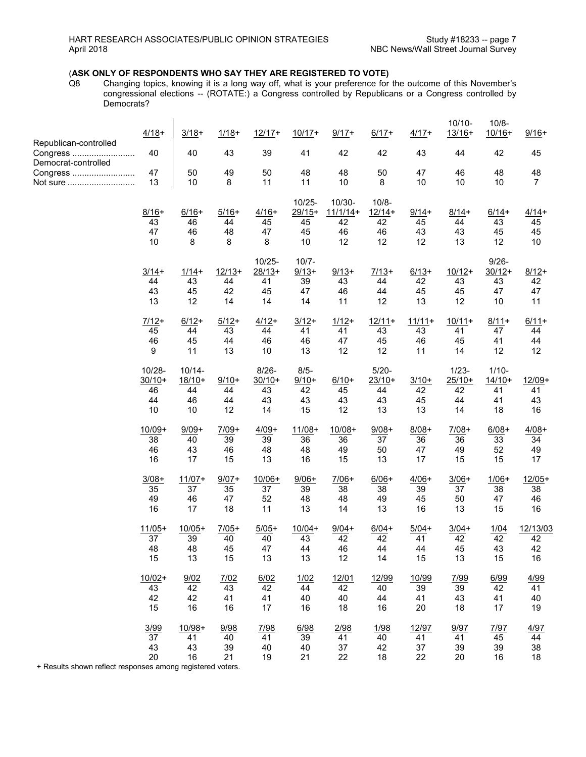# (ASK ONLY OF RESPONDENTS WHO SAY THEY ARE REGISTERED TO VOTE)<br>Q8 Changing topics, knowing it is a long way off, what is your preference for

Q8 Changing topics, knowing it is a long way off, what is your preference for the outcome of this November's congressional elections -- (ROTATE:) a Congress controlled by Republicans or a Congress controlled by Democrats?

|                                                          | $4/18 +$  | $3/18+$   | $1/18 +$ | $12/17+$  | $10/17+$  | $9/17+$    | $6/17+$  | $4/17+$  | $10/10 -$<br>$13/16+$ | $10/8 -$<br>$10/16+$ | $9/16+$              |
|----------------------------------------------------------|-----------|-----------|----------|-----------|-----------|------------|----------|----------|-----------------------|----------------------|----------------------|
| Republican-controlled<br>Congress<br>Democrat-controlled | 40        | 40        | 43       | 39        | 41        | 42         | 42       | 43       | 44                    | 42                   | 45                   |
| Congress<br>Not sure                                     | 47<br>13  | 50<br>10  | 49<br>8  | 50<br>11  | 48<br>11  | 48<br>10   | 50<br>8  | 47<br>10 | 46<br>10              | 48<br>10             | 48<br>$\overline{7}$ |
|                                                          |           |           |          |           | 10/25-    | $10/30 -$  | $10/8 -$ |          |                       |                      |                      |
|                                                          | $8/16+$   | $6/16+$   | $5/16+$  | $4/16+$   | $29/15+$  | $11/1/14+$ | $12/14+$ | $9/14+$  | $8/14+$               | $6/14+$              | $4/14+$              |
|                                                          | 43        | 46        | 44       | 45        | 45        | 42         | 42       | 45       | 44                    | 43                   | 45                   |
|                                                          | 47<br>10  | 46<br>8   | 48<br>8  | 47<br>8   | 45<br>10  | 46<br>12   | 46<br>12 | 43<br>12 | 43<br>13              | 45<br>12             | 45<br>10             |
|                                                          |           |           |          | $10/25 -$ | $10/7 -$  |            |          |          |                       | $9/26 -$             |                      |
|                                                          | $3/14+$   | $1/14+$   | $12/13+$ | $28/13+$  | $9/13+$   | $9/13+$    | $7/13+$  | $6/13+$  | $10/12+$              | $30/12+$             | $8/12+$              |
|                                                          | 44        | 43        | 44       | 41        | 39        | 43         | 44       | 42       | 43                    | 43                   | 42                   |
|                                                          | 43        | 45        | 42       | 45        | 47        | 46         | 44       | 45       | 45                    | 47                   | 47                   |
|                                                          | 13        | 12        | 14       | 14        | 14        | 11         | 12       | 13       | 12                    | 10                   | 11                   |
|                                                          | $7/12+$   | $6/12+$   | $5/12+$  | $4/12+$   | $3/12+$   | $1/12+$    | $12/11+$ | $11/11+$ | $10/11+$              | $8/11+$              | $6/11+$              |
|                                                          | 45        | 44        | 43       | 44        | 41        | 41         | 43       | 43       | 41                    | 47                   | 44                   |
|                                                          | 46<br>9   | 45<br>11  | 44       | 46        | 46        | 47         | 45       | 46       | 45                    | 41                   | 44                   |
|                                                          |           |           | 13       | 10        | 13        | 12         | 12       | 11       | 14                    | 12                   | 12                   |
|                                                          | $10/28 -$ | $10/14 -$ |          | $8/26 -$  | $8/5 -$   |            | $5/20 -$ |          | $1/23 -$              | $1/10-$              |                      |
|                                                          | $30/10+$  | $18/10+$  | $9/10+$  | $30/10+$  | $9/10+$   | $6/10+$    | $23/10+$ | $3/10+$  | $25/10+$              | $14/10+$             | $12/09+$             |
|                                                          | 46        | 44        | 44       | 43        | 42        | 45         | 44       | 42       | 42                    | 41                   | 41                   |
|                                                          | 44        | 46        | 44       | 43        | 43        | 43         | 43       | 45       | 44                    | 41                   | 43                   |
|                                                          | 10        | 10        | 12       | 14        | 15        | 12         | 13       | 13       | 14                    | 18                   | 16                   |
|                                                          | $10/09+$  | $9/09 +$  | $7/09+$  | $4/09+$   | $11/08 +$ | $10/08 +$  | $9/08 +$ | $8/08 +$ | $7/08+$               | $6/08 +$             | $4/08+$              |
|                                                          | 38<br>46  | 40<br>43  | 39<br>46 | 39<br>48  | 36<br>48  | 36<br>49   | 37<br>50 | 36<br>47 | 36<br>49              | 33<br>52             | 34<br>49             |
|                                                          | 16        | 17        | 15       | 13        | 16        | 15         | 13       | 17       | 15                    | 15                   | 17                   |
|                                                          |           |           |          |           |           |            |          |          |                       |                      |                      |
|                                                          | $3/08+$   | $11/07+$  | $9/07+$  | $10/06+$  | $9/06+$   | $7/06+$    | $6/06+$  | $4/06+$  | $3/06+$               | $1/06+$              | $12/05+$             |
|                                                          | 35        | 37        | 35       | 37        | 39        | 38         | 38       | 39       | 37                    | 38                   | 38                   |
|                                                          | 49        | 46        | 47       | 52        | 48        | 48         | 49       | 45       | 50                    | 47                   | 46                   |
|                                                          | 16        | 17        | 18       | 11        | 13        | 14         | 13       | 16       | 13                    | 15                   | 16                   |
|                                                          | $11/05+$  | $10/05+$  | $7/05+$  | $5/05+$   | $10/04+$  | $9/04 +$   | $6/04+$  | $5/04+$  | $3/04+$               | 1/04                 | 12/13/03             |
|                                                          | 37        | 39        | 40       | 40        | 43        | 42         | 42       | 41       | 42                    | 42                   | 42                   |
|                                                          | 48        | 48        | 45       | 47        | 44        | 46         | 44       | 44       | 45                    | 43                   | 42                   |
|                                                          | 15        | 13        | 15       | 13        | 13        | 12         | 14       | 15       | 13                    | 15                   | 16                   |
|                                                          | $10/02+$  | 9/02      | 7/02     | 6/02      | 1/02      | 12/01      | 12/99    | 10/99    | 7/99                  | 6/99                 | 4/99                 |
|                                                          | 43        | 42        | 43       | 42        | 44        | 42         | 40       | 39       | 39                    | 42                   | 41                   |
|                                                          | 42        | 42        | 41       | 41        | 40        | 40         | 44       | 41       | 43                    | 41                   | 40                   |
|                                                          | 15        | 16        | 16       | 17        | 16        | 18         | 16       | 20       | 18                    | 17                   | 19                   |
|                                                          | 3/99      | $10/98 +$ | 9/98     | 7/98      | 6/98      | 2/98       | 1/98     | 12/97    | 9/97                  | 7/97                 | 4/97                 |
|                                                          | 37        | 41        | 40       | 41        | 39        | 41         | 40       | 41       | 41                    | 45                   | 44                   |
|                                                          | 43        | 43        | 39       | 40        | 40        | 37         | 42       | 37       | 39                    | 39                   | 38                   |
|                                                          | 20        | 16        | 21       | 19        | 21        | 22         | 18       | 22       | 20                    | 16                   | 18                   |

+ Results shown reflect responses among registered voters.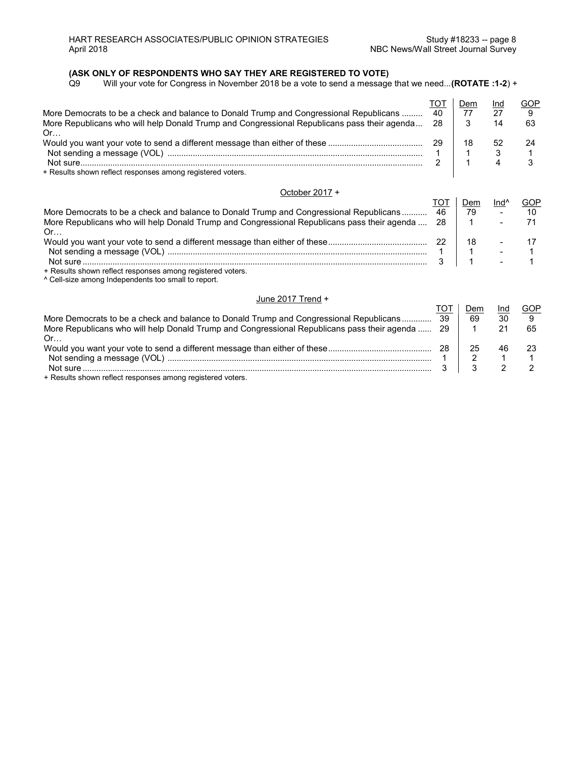# (ASK ONLY OF RESPONDENTS WHO SAY THEY ARE REGISTERED TO VOTE)<br>Q9 Will your vote for Congress in November 2018 be a vote to send a message

Will your vote for Congress in November 2018 be a vote to send a message that we need...(ROTATE :1-2) +

| $\overline{27}$<br>77<br>9<br>40<br>More Democrats to be a check and balance to Donald Trump and Congressional Republicans<br>More Republicans who will help Donald Trump and Congressional Republicans pass their agenda<br>28<br>3<br>63<br>14<br>29<br>18<br>52<br>24<br>$\sqrt{3}$<br>1<br>1<br>$\mathcal{P}$<br>3<br>4<br>+ Results shown reflect responses among registered voters.<br>October 2017 +<br><u>TOT</u><br>Dem<br><u>Ind</u> ^<br><u>GOP</u><br>46<br>79<br>10<br>More Democrats to be a check and balance to Donald Trump and Congressional Republicans<br>71<br>More Republicans who will help Donald Trump and Congressional Republicans pass their agenda<br>28<br>18<br>17<br>1<br>3<br>+ Results shown reflect responses among registered voters.<br><sup>^</sup> Cell-size among Independents too small to report.<br>June 2017 Trend +<br>тот<br><u>GOP</u><br>Dem<br>Ind<br>39<br>9<br>More Democrats to be a check and balance to Donald Trump and Congressional Republicans<br>69<br>30<br>21<br>More Republicans who will help Donald Trump and Congressional Republicans pass their agenda<br>29<br>65<br>1 |    | тот | Dem | <u>Ind</u> | <b>GOP</b> |
|--------------------------------------------------------------------------------------------------------------------------------------------------------------------------------------------------------------------------------------------------------------------------------------------------------------------------------------------------------------------------------------------------------------------------------------------------------------------------------------------------------------------------------------------------------------------------------------------------------------------------------------------------------------------------------------------------------------------------------------------------------------------------------------------------------------------------------------------------------------------------------------------------------------------------------------------------------------------------------------------------------------------------------------------------------------------------------------------------------------------------------------------|----|-----|-----|------------|------------|
|                                                                                                                                                                                                                                                                                                                                                                                                                                                                                                                                                                                                                                                                                                                                                                                                                                                                                                                                                                                                                                                                                                                                            |    |     |     |            |            |
|                                                                                                                                                                                                                                                                                                                                                                                                                                                                                                                                                                                                                                                                                                                                                                                                                                                                                                                                                                                                                                                                                                                                            | Or |     |     |            |            |
|                                                                                                                                                                                                                                                                                                                                                                                                                                                                                                                                                                                                                                                                                                                                                                                                                                                                                                                                                                                                                                                                                                                                            |    |     |     |            |            |
|                                                                                                                                                                                                                                                                                                                                                                                                                                                                                                                                                                                                                                                                                                                                                                                                                                                                                                                                                                                                                                                                                                                                            |    |     |     |            |            |
|                                                                                                                                                                                                                                                                                                                                                                                                                                                                                                                                                                                                                                                                                                                                                                                                                                                                                                                                                                                                                                                                                                                                            |    |     |     |            |            |
|                                                                                                                                                                                                                                                                                                                                                                                                                                                                                                                                                                                                                                                                                                                                                                                                                                                                                                                                                                                                                                                                                                                                            |    |     |     |            |            |
|                                                                                                                                                                                                                                                                                                                                                                                                                                                                                                                                                                                                                                                                                                                                                                                                                                                                                                                                                                                                                                                                                                                                            |    |     |     |            |            |
|                                                                                                                                                                                                                                                                                                                                                                                                                                                                                                                                                                                                                                                                                                                                                                                                                                                                                                                                                                                                                                                                                                                                            |    |     |     |            |            |
|                                                                                                                                                                                                                                                                                                                                                                                                                                                                                                                                                                                                                                                                                                                                                                                                                                                                                                                                                                                                                                                                                                                                            |    |     |     |            |            |
|                                                                                                                                                                                                                                                                                                                                                                                                                                                                                                                                                                                                                                                                                                                                                                                                                                                                                                                                                                                                                                                                                                                                            | Or |     |     |            |            |
|                                                                                                                                                                                                                                                                                                                                                                                                                                                                                                                                                                                                                                                                                                                                                                                                                                                                                                                                                                                                                                                                                                                                            |    |     |     |            |            |
|                                                                                                                                                                                                                                                                                                                                                                                                                                                                                                                                                                                                                                                                                                                                                                                                                                                                                                                                                                                                                                                                                                                                            |    |     |     |            |            |
|                                                                                                                                                                                                                                                                                                                                                                                                                                                                                                                                                                                                                                                                                                                                                                                                                                                                                                                                                                                                                                                                                                                                            |    |     |     |            |            |
|                                                                                                                                                                                                                                                                                                                                                                                                                                                                                                                                                                                                                                                                                                                                                                                                                                                                                                                                                                                                                                                                                                                                            |    |     |     |            |            |
|                                                                                                                                                                                                                                                                                                                                                                                                                                                                                                                                                                                                                                                                                                                                                                                                                                                                                                                                                                                                                                                                                                                                            |    |     |     |            |            |
|                                                                                                                                                                                                                                                                                                                                                                                                                                                                                                                                                                                                                                                                                                                                                                                                                                                                                                                                                                                                                                                                                                                                            |    |     |     |            |            |
|                                                                                                                                                                                                                                                                                                                                                                                                                                                                                                                                                                                                                                                                                                                                                                                                                                                                                                                                                                                                                                                                                                                                            |    |     |     |            |            |
|                                                                                                                                                                                                                                                                                                                                                                                                                                                                                                                                                                                                                                                                                                                                                                                                                                                                                                                                                                                                                                                                                                                                            |    |     |     |            |            |
|                                                                                                                                                                                                                                                                                                                                                                                                                                                                                                                                                                                                                                                                                                                                                                                                                                                                                                                                                                                                                                                                                                                                            | Or |     |     |            |            |
| 25<br>23<br>46                                                                                                                                                                                                                                                                                                                                                                                                                                                                                                                                                                                                                                                                                                                                                                                                                                                                                                                                                                                                                                                                                                                             |    |     |     |            |            |
| $\boldsymbol{2}$<br>$\mathbf{1}$<br>$\mathbf{1}$<br>1                                                                                                                                                                                                                                                                                                                                                                                                                                                                                                                                                                                                                                                                                                                                                                                                                                                                                                                                                                                                                                                                                      |    |     |     |            |            |
| 3<br>$\overline{2}$<br>3<br>$\overline{2}$<br>+ Results shown reflect responses among registered voters.                                                                                                                                                                                                                                                                                                                                                                                                                                                                                                                                                                                                                                                                                                                                                                                                                                                                                                                                                                                                                                   |    |     |     |            |            |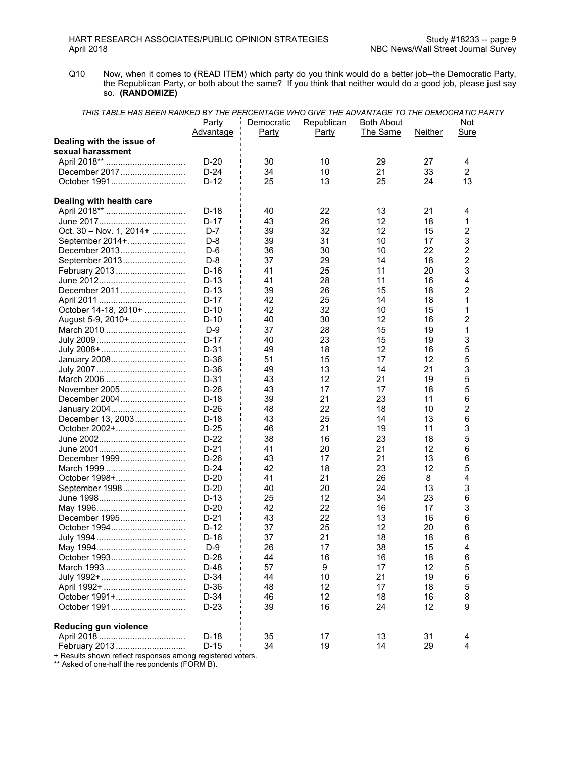Q10 Now, when it comes to (READ ITEM) which party do you think would do a better job--the Democratic Party, the Republican Party, or both about the same? If you think that neither would do a good job, please just say so. (RANDOMIZE)

| THIS TABLE HAS BEEN RANKED BY THE PERCENTAGE WHO GIVE THE ADVANTAGE TO THE DEMOCRATIC PARTY |                  |              |            |                   |         |                |  |
|---------------------------------------------------------------------------------------------|------------------|--------------|------------|-------------------|---------|----------------|--|
|                                                                                             | Party            | Democratic   | Republican | <b>Both About</b> |         | Not            |  |
|                                                                                             | <b>Advantage</b> | <b>Party</b> | Party      | The Same          | Neither | <b>Sure</b>    |  |
| Dealing with the issue of                                                                   |                  |              |            |                   |         |                |  |
| sexual harassment                                                                           |                  |              |            |                   |         |                |  |
|                                                                                             | D-20             | 30           | 10         | 29                | 27      | 4              |  |
| December 2017                                                                               | $D-24$           | 34           | 10         | 21                | 33      | $\overline{c}$ |  |
|                                                                                             | D-12             | 25           | 13         | 25                | 24      | 13             |  |
|                                                                                             |                  |              |            |                   |         |                |  |
| Dealing with health care                                                                    |                  |              |            |                   |         |                |  |
|                                                                                             | D-18             | 40           | 22         | 13                | 21      | 4              |  |
|                                                                                             | D-17             | 43           | 26         | 12                | 18      | 1              |  |
| Oct. 30 - Nov. 1, 2014+                                                                     | $D-7$            | 39           | 32         | 12                | 15      | 2              |  |
| September 2014+                                                                             | $D-8$            | 39           | 31         | 10                | 17      | 3              |  |
| December 2013                                                                               | $D-6$            | 36           | 30         | 10                | 22      | 2              |  |
| September 2013                                                                              | $D-8$            | 37           | 29         | 14                | 18      | 2              |  |
| February 2013                                                                               | $D-16$           | 41           | 25         | 11                | 20      | 3              |  |
|                                                                                             | $D-13$           | 41           | 28         | 11                | 16      | 4              |  |
| December 2011                                                                               | $D-13$           | 39           | 26         | 15                | 18      | 2              |  |
|                                                                                             | $D-17$           | 42           | 25         | 14                | 18      | 1              |  |
| October 14-18, 2010+                                                                        | $D-10$           | 42           | 32         | 10                | 15      | 1              |  |
| August 5-9, 2010+                                                                           | D-10             | 40           | 30         | 12                | 16      | 2              |  |
|                                                                                             | $D-9$            | 37           | 28         | 15                | 19      | 1              |  |
|                                                                                             | $D-17$           | 40           | 23         | 15                | 19      | 3              |  |
|                                                                                             | $D-31$           | 49           | 18         | 12                | 16      | 5              |  |
| January 2008                                                                                | $D-36$           | 51           | 15         | 17                | 12      | 5              |  |
|                                                                                             | $D-36$           | 49           | 13         | 14                | 21      | 3              |  |
|                                                                                             | $D-31$           | 43           | 12         | 21                | 19      | 5              |  |
| November 2005                                                                               | $D-26$           | 43           | 17         | 17                | 18      | 5              |  |
| December 2004                                                                               | $D-18$           | 39           | 21         | 23                | 11      | 6              |  |
| January 2004                                                                                | $D-26$           | 48           | 22         | 18                | 10      | 2              |  |
| December 13, 2003                                                                           | $D-18$           | 43           | 25         | 14                | 13      | 6              |  |
| October 2002+                                                                               | $D-25$           | 46           | 21         | 19                | 11      | 3              |  |
|                                                                                             | $D-22$           | 38           |            |                   |         |                |  |
|                                                                                             |                  |              | 16         | 23                | 18      | 5              |  |
|                                                                                             | $D-21$           | 41           | 20         | 21                | 12      | 6              |  |
| December 1999                                                                               | $D-26$           | 43           | 17         | 21                | 13      | 6              |  |
|                                                                                             | $D-24$           | 42           | 18         | 23                | 12      | 5              |  |
| October 1998+                                                                               | $D-20$           | 41           | 21         | 26                | 8       | 4              |  |
| September 1998                                                                              | $D-20$           | 40           | 20         | 24                | 13      | 3              |  |
|                                                                                             | $D-13$           | 25           | 12         | 34                | 23      | 6              |  |
|                                                                                             | $D-20$           | 42           | 22         | 16                | 17      | 3              |  |
| December 1995                                                                               | $D-21$           | 43           | 22         | 13                | 16      | 6              |  |
| October 1994                                                                                | D-12             | 37           | 25         | 12                | 20      | 6              |  |
|                                                                                             | D-16             | 37           | 21         | 18                | 18      | 6              |  |
|                                                                                             | $D-9$            | 26           | 17         | 38                | 15      | 4              |  |
| October 1993                                                                                | $D-28$           | 44           | 16         | 16                | 18      | 6              |  |
|                                                                                             | D-48             | 57           | 9          | 17                | 12      | 5              |  |
|                                                                                             | $D-34$           | 44           | 10         | 21                | 19      | 6              |  |
|                                                                                             | $D-36$           | 48           | 12         | 17                | 18      | 5              |  |
| October 1991+                                                                               | $D-34$           | 46           | 12         | 18                | 16      | 8              |  |
| October 1991                                                                                | $D-23$           | 39           | 16         | 24                | 12      | 9              |  |
|                                                                                             |                  |              |            |                   |         |                |  |
| <b>Reducing gun violence</b>                                                                |                  |              |            |                   |         |                |  |
|                                                                                             | $D-18$           | 35           | 17         | 13                | 31      | 4              |  |
| February 2013                                                                               | $D-15$           | 34           | 19         | 14                | 29      | $\overline{4}$ |  |

+ Results shown reflect responses among registered voters.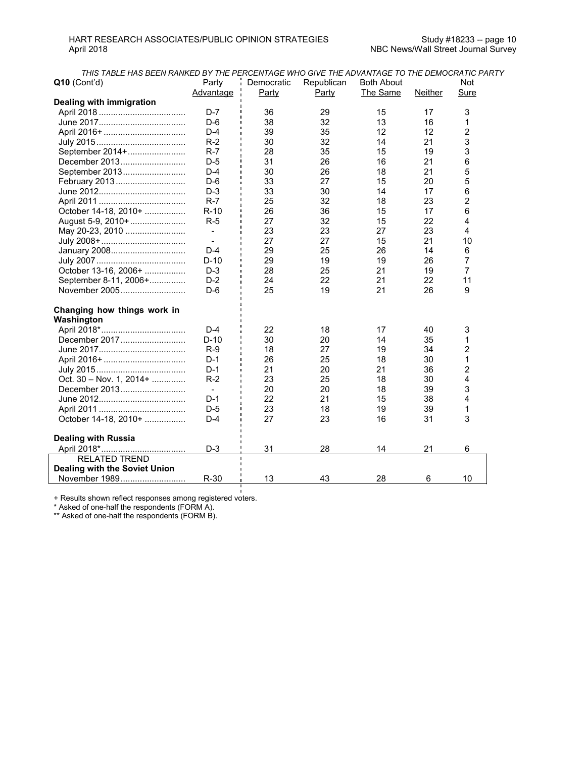THIS TABLE HAS BEEN RANKED BY THE PERCENTAGE WHO GIVE THE ADVANTAGE TO THE DEMOCRATIC PARTY

| Q10 (Cont'd)                         | Party                        | Democratic   | Republican | <b>Both About</b> |         | Not            |
|--------------------------------------|------------------------------|--------------|------------|-------------------|---------|----------------|
|                                      | <u>Advantage</u>             | <b>Party</b> | Party      | The Same          | Neither | <b>Sure</b>    |
| Dealing with immigration             |                              |              |            |                   |         |                |
|                                      | $D-7$                        | 36           | 29         | 15                | 17      | 3              |
|                                      | D-6                          | 38           | 32         | 13                | 16      | 1              |
|                                      | $D-4$                        | 39           | 35         | 12                | 12      | 2              |
|                                      | $R-2$                        | 30           | 32         | 14                | 21      | 3              |
| September 2014+                      | $R-7$                        | 28           | 35         | 15                | 19      | 3              |
| December 2013                        | $D-5$                        | 31           | 26         | 16                | 21      | 6              |
| September 2013                       | $D-4$                        | 30           | 26         | 18                | 21      | 5              |
| February 2013                        | $D-6$                        | 33           | 27         | 15                | 20      | 5              |
|                                      | $D-3$                        | 33           | 30         | 14                | 17      | 6              |
|                                      | $R-7$                        | 25           | 32         | 18                | 23      | 2              |
| October 14-18, 2010+                 | $R-10$                       | 26           | 36         | 15                | 17      | 6              |
| August 5-9, 2010+                    | $R-5$                        | 27           | 32         | 15                | 22      | 4              |
| May 20-23, 2010                      | $\overline{\phantom{a}}$     | 23           | 23         | 27                | 23      | 4              |
|                                      | $\overline{\phantom{a}}$     | 27           | 27         | 15                | 21      | 10             |
| January 2008                         | $D-4$                        | 29           | 25         | 26                | 14      | 6              |
|                                      | $D-10$                       | 29           | 19         | 19                | 26      | 7              |
| October 13-16, 2006+                 | $D-3$                        | 28           | 25         | 21                | 19      | $\overline{7}$ |
| September 8-11, 2006+                | $D-2$                        | 24           | 22         | 21                | 22      | 11             |
| November 2005                        | $D-6$                        | 25           | 19         | 21                | 26      | 9              |
| Changing how things work in          |                              |              |            |                   |         |                |
| Washington                           |                              |              |            |                   |         |                |
|                                      | $D-4$                        | 22           | 18         | 17                | 40      | 3              |
| December 2017                        | $D-10$                       | 30           | 20         | 14                | 35      | 1              |
|                                      | $R-9$                        | 18           | 27         | 19                | 34      | 2              |
|                                      | $D-1$                        | 26           | 25         | 18                | 30      | 1              |
|                                      | $D-1$                        | 21           | 20         | 21                | 36      | $\overline{c}$ |
| Oct. 30 - Nov. 1, 2014+              | $R-2$                        | 23           | 25         | 18                | 30      | 4              |
| December 2013                        | $\qquad \qquad \blacksquare$ | 20           | 20         | 18                | 39      | 3              |
|                                      | $D-1$                        | 22           | 21         | 15                | 38      | 4              |
|                                      | $D-5$                        | 23           | 18         | 19                | 39      | 1              |
| October 14-18, 2010+                 | $D-4$                        | 27           | 23         | 16                | 31      | 3              |
| <b>Dealing with Russia</b>           |                              |              |            |                   |         |                |
|                                      | $D-3$                        | 31           | 28         | 14                | 21      | 6              |
| <b>RELATED TREND</b>                 |                              |              |            |                   |         |                |
| <b>Dealing with the Soviet Union</b> |                              |              |            |                   |         |                |
| November 1989                        | R-30                         | 13           | 43         | 28                | 6       | 10             |

+ Results shown reflect responses among registered voters.

\* Asked of one-half the respondents (FORM A).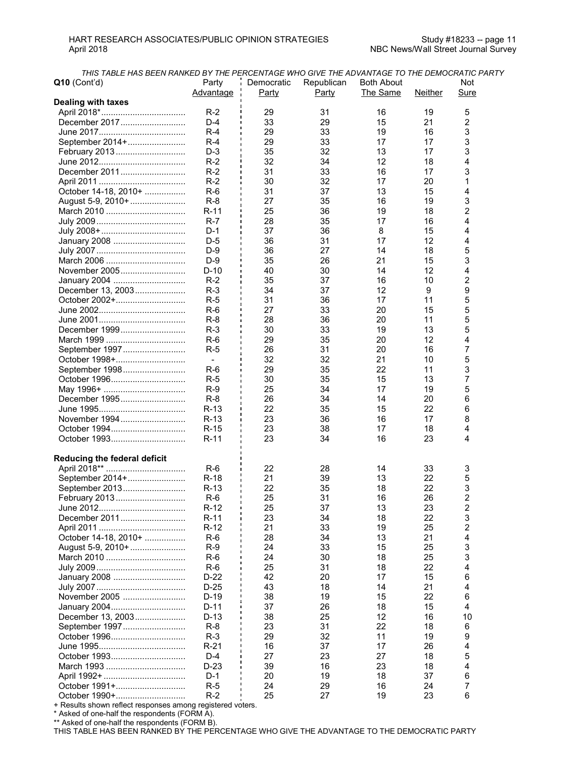THIS TABLE HAS BEEN RANKED BY THE PERCENTAGE WHO GIVE THE ADVANTAGE TO THE DEMOCRATIC PARTY

| Q10 (Cont'd)                        | Party<br><u>Advantage</u> | Democratic<br>Party | Republican<br><b>Party</b> | <b>Both About</b><br>The Same | <b>Neither</b> | Not<br><u>Sure</u>        |
|-------------------------------------|---------------------------|---------------------|----------------------------|-------------------------------|----------------|---------------------------|
| <b>Dealing with taxes</b>           |                           |                     |                            |                               |                |                           |
|                                     | $R-2$                     | 29                  | 31                         | 16                            | 19             | 5                         |
| December 2017                       | $D-4$                     | 33                  | 29                         | 15                            | 21             | 2                         |
|                                     | $R-4$                     | 29                  | 33                         | 19                            | 16             | 3                         |
| September 2014+                     | $R-4$                     | 29                  | 33                         | 17                            | 17             | $\ensuremath{\mathsf{3}}$ |
| February 2013                       | $D-3$                     | 35                  | 32                         | 13                            | 17             | 3                         |
|                                     | $R-2$                     | 32                  | 34                         | 12                            | 18             | 4                         |
| December 2011                       | $R-2$                     | 31                  | 33                         | 16                            | 17             | 3                         |
|                                     | $R-2$                     | 30                  | 32                         | 17                            | 20             | 1                         |
| October 14-18, 2010+                | $R-6$                     | 31                  | 37                         | 13                            | 15             | 4                         |
| August 5-9, 2010+                   | $R-8$                     | 27                  | 35                         | 16                            | 19             | 3                         |
|                                     | R-11                      | 25<br>п             | 36                         | 19                            | 18             | $\overline{c}$            |
|                                     | $R-7$                     | 28                  | 35                         | 17                            | 16             | 4                         |
|                                     | $D-1$                     | 37                  | 36                         | 8                             | 15             | 4                         |
| January 2008                        | $D-5$                     | 36                  | 31                         | 17                            | 12             | 4                         |
|                                     | $D-9$                     | 36                  | 27                         | 14                            | 18             | 5                         |
|                                     | $D-9$                     | 35                  | 26                         | 21                            | 15             | 3                         |
| November 2005                       | $D-10$                    | 40<br>f.            | 30                         | 14                            | 12             | 4                         |
| January 2004                        | $R-2$                     | 35                  | 37                         | 16                            | 10             | $\overline{c}$            |
| December 13, 2003                   | $R-3$                     | 34                  | 37                         | 12                            | 9              | 9                         |
| October 2002+                       | $R-5$                     | 31                  | 36                         | 17                            | 11             | 5                         |
|                                     | $R-6$                     | 27                  | 33                         | 20                            | 15             | 5                         |
|                                     | $R-8$                     | 28                  | 36                         | 20                            | 11             | 5                         |
| December 1999                       | $R-3$                     | 30                  | 33                         | 19                            | 13             | 5                         |
|                                     | $R-6$                     | 29                  | 35                         | 20                            | 12             | 4                         |
| September 1997                      | $R-5$                     | 26                  | 31                         | 20                            | 16             | $\overline{7}$            |
| October 1998+                       | $\overline{\phantom{0}}$  | 32                  | 32                         | 21                            | 10             | 5                         |
| September 1998                      | $R-6$                     | 29                  | 35                         | 22                            | 11             | 3                         |
| October 1996                        | $R-5$                     | 30                  | 35                         | 15                            | 13             | 7                         |
|                                     | $R-9$                     | 25                  | 34                         | 17                            | 19             | 5                         |
| December 1995                       | $R-8$                     | 26                  | 34                         | 14                            | 20             | 6                         |
|                                     | $R-13$                    | 22<br>п             | 35                         | 15                            | 22             | 6                         |
| November 1994                       | $R-13$                    | 23<br>f.            | 36                         | 16                            | 17             | 8                         |
| October 1994                        | $R-15$                    | 23                  | 38                         | 17                            | 18             | 4                         |
| October 1993                        | $R-11$                    | 23                  | 34                         | 16                            | 23             | 4                         |
| <b>Reducing the federal deficit</b> |                           |                     |                            |                               |                |                           |
|                                     | $R-6$                     | 22                  | 28                         | 14                            | 33             | 3                         |
| September 2014+                     | $R-18$                    | 21                  | 39                         | 13                            | 22             | 5                         |
| September 2013                      | $R-13$                    | 22                  | 35                         | 18                            | 22             | 3                         |
| February 2013                       | $R-6$                     | 25                  | 31                         | 16                            | 26             | $\overline{c}$            |
|                                     | $R-12$                    | 25                  | 37                         | 13                            | 23             | 2                         |
| December 2011                       | R-11                      | 23                  | 34                         | 18                            | 22             | 3                         |
|                                     | $R-12$                    | 21                  | 33                         | 19                            | 25             | 2                         |
| October 14-18, 2010+                | $R-6$                     | 28                  | 34                         | 13                            | 21             | 4                         |
| August 5-9, 2010+                   | $R-9$                     | 24                  | 33                         | 15                            | 25             | 3                         |
|                                     | $R-6$                     | 24                  | 30                         | 18                            | 25             | 3                         |
|                                     | $R-6$                     | 25                  | 31                         | 18                            | 22             | 4                         |
| January 2008                        | $D-22$                    | 42                  | 20                         | 17                            | 15             | 6                         |
|                                     | $D-25$                    | 43                  | 18                         | 14                            | 21             | 4                         |
| November 2005                       | $D-19$                    | 38                  | 19                         | 15                            | 22             | 6                         |
| January 2004                        | $D-11$                    | 37                  | 26                         | 18                            | 15             | 4                         |
| December 13, 2003                   | $D-13$                    | 38                  | 25                         | 12                            | 16             | 10                        |
| September 1997                      | $R-8$                     | 23                  | 31                         | 22                            | 18             | 6                         |
| October 1996                        | $R-3$                     | 29                  | 32                         | 11                            | 19             | 9                         |
|                                     | $R-21$                    | 16                  | 37                         | 17                            | 26             | 4                         |
| October 1993                        | $D-4$                     | 27                  | 23                         | 27                            | 18             | 5                         |
|                                     | $D-23$                    | 39                  | 16                         | 23                            | 18             | 4                         |
|                                     | $D-1$                     | 20                  | 19                         | 18                            | 37             | 6                         |
| October 1991+                       | $R-5$                     | 24                  | 29                         | 16                            | 24             | 7                         |
| October 1990+                       | $R-2$                     | 25                  | 27                         | 19                            | 23             | 6                         |

+ Results shown reflect responses among registered voters.

\* Asked of one-half the respondents (FORM A).

\*\* Asked of one-half the respondents (FORM B).

THIS TABLE HAS BEEN RANKED BY THE PERCENTAGE WHO GIVE THE ADVANTAGE TO THE DEMOCRATIC PARTY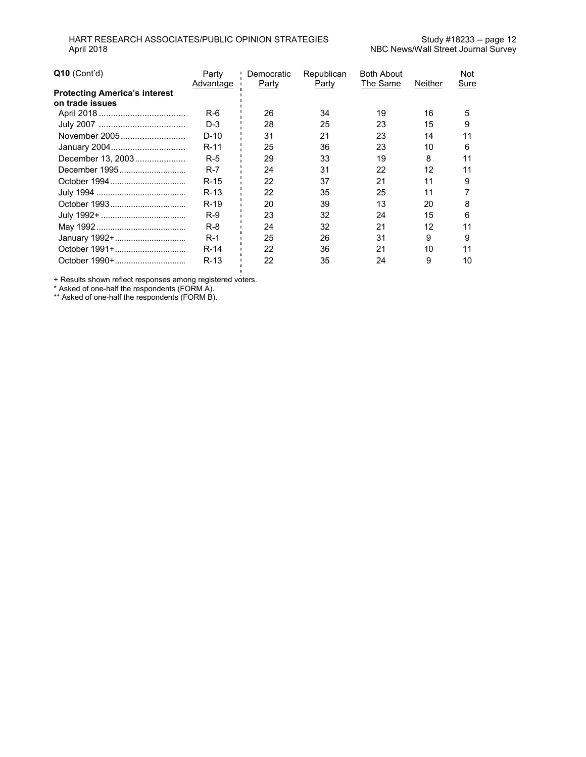| Party     | Democratic                                                                                                             | Republican | <b>Both About</b> |         | Not  |
|-----------|------------------------------------------------------------------------------------------------------------------------|------------|-------------------|---------|------|
| Advantage | Party                                                                                                                  | Party      | The Same          | Neither | Sure |
|           |                                                                                                                        |            |                   |         |      |
|           |                                                                                                                        |            |                   |         |      |
| R-6       | 26                                                                                                                     | 34         | 19                | 16      | 5    |
| $D-3$     | 28                                                                                                                     | 25         | 23                | 15      | 9    |
| $D-10$    | 31                                                                                                                     | 21         | 23                | 14      | 11   |
| R-11      | 25                                                                                                                     | 36         | 23                | 10      | 6    |
| R-5       | 29                                                                                                                     | 33         | 19                | 8       | 11   |
| $R-7$     | 24                                                                                                                     | 31         | 22                | 12      | 11   |
| $R-15$    | 22                                                                                                                     | 37         | 21                | 11      | 9    |
| $R-13$    | 22                                                                                                                     | 35         | 25                | 11      |      |
| $R-19$    | 20                                                                                                                     | 39         | 13                | 20      | 8    |
| $R-9$     | 23                                                                                                                     | 32         | 24                | 15      | 6    |
| $R - 8$   | 24                                                                                                                     | 32         | 21                | 12      | 11   |
| $R-1$     | 25                                                                                                                     | 26         | 31                | 9       | 9    |
| $R-14$    | 22                                                                                                                     | 36         | 21                | 10      | 11   |
| R-13      | 22                                                                                                                     | 35         | 24                | 9       | 10   |
|           | November 2005<br>January 2004<br>December 13, 2003<br>December 1995<br>January 1992+<br>October 1991+<br>October 1990+ |            |                   |         |      |

+ Results shown reflect responses among registered voters.

\* Asked of one-half the respondents (FORM A).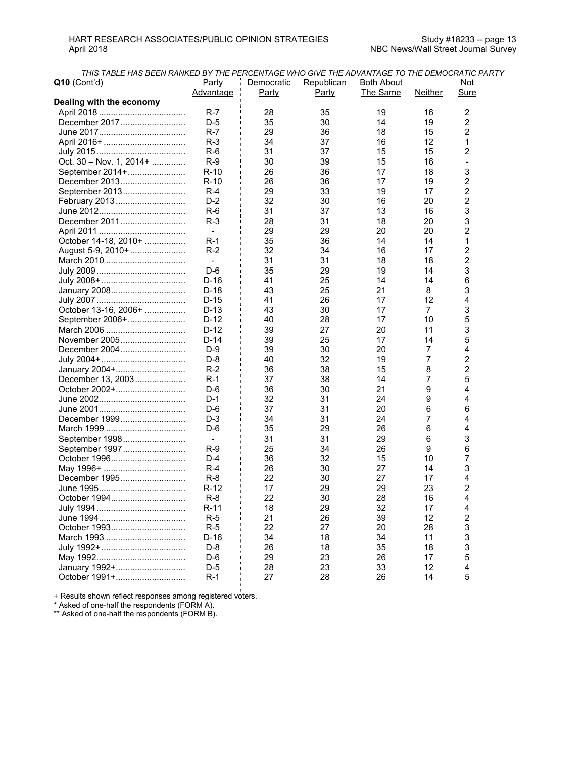THIS TABLE HAS BEEN RANKED BY THE PERCENTAGE WHO GIVE THE ADVANTAGE TO THE DEMOCRATIC PARTY

| <b>Q10</b> (Cont'd)      | Party                        | Democratic   | Republican | <b>Both About</b> |                | Not                          |
|--------------------------|------------------------------|--------------|------------|-------------------|----------------|------------------------------|
|                          | <u>Advantage</u>             | <b>Party</b> | Party      | The Same          | <b>Neither</b> | <u>Sure</u>                  |
| Dealing with the economy |                              |              |            |                   |                |                              |
|                          | R-7                          | 28           | 35         | 19                | 16             | 2                            |
| December 2017            | D-5                          | 35           | 30         | 14                | 19             | $\overline{c}$               |
|                          | $R-7$                        | 29           | 36         | 18                | 15             | 2                            |
|                          | $R-3$                        | 34           | 37         | 16                | 12             | 1                            |
|                          | $R-6$                        | 31           | 37         | 15                | 15             | 2                            |
| Oct. 30 - Nov. 1, 2014 + | $R-9$                        | 30           | 39         | 15                | 16             | $\qquad \qquad \blacksquare$ |
| September 2014+          | $R-10$                       | 26           | 36         | 17                | 18             | 3                            |
| December 2013            | R-10                         | 26           | 36         | 17                | 19             | $\overline{c}$               |
| September 2013           | $R-4$                        | 29           | 33         | 19                | 17             | $\mathbf 2$                  |
| February 2013            | $D-2$                        | 32           | 30         | 16                | 20             | $\overline{\mathbf{c}}$      |
|                          | $R-6$                        | 31           | 37         | 13                | 16             | 3                            |
| December 2011            | $R-3$                        | 28           | 31         | 18                | 20             | 3                            |
|                          |                              | 29           | 29         | 20                | 20             | 2                            |
|                          | $\blacksquare$               |              |            |                   |                |                              |
| October 14-18, 2010+     | $R-1$                        | 35<br>32     | 36         | 14                | 14             | 1                            |
| August 5-9, 2010+        | $R-2$                        |              | 34         | 16                | 17             | 2                            |
|                          | $\qquad \qquad \blacksquare$ | 31           | 31         | 18                | 18             | 2                            |
|                          | D-6                          | 35           | 29         | 19                | 14             | 3                            |
|                          | $D-16$                       | 41           | 25         | 14                | 14             | 6                            |
| January 2008             | $D-18$                       | 43           | 25         | 21                | 8              | 3                            |
|                          | $D-15$                       | 41           | 26         | 17                | 12             | 4                            |
| October 13-16, 2006+     | $D-13$                       | 43           | 30         | 17                | 7              | 3                            |
| September 2006+          | $D-12$                       | 40           | 28         | 17                | 10             | 5                            |
|                          | $D-12$                       | 39           | 27         | 20                | 11             | $\mathsf 3$                  |
| November 2005            | D-14                         | 39           | 25         | 17                | 14             | 5                            |
| December 2004            | $D-9$                        | 39           | 30         | 20                | 7              | 4                            |
|                          | D-8                          | 40           | 32         | 19                | $\overline{7}$ | 2                            |
| January 2004+            | $R-2$                        | 36           | 38         | 15                | 8              | 2                            |
| December 13, 2003        | $R-1$                        | 37           | 38         | 14                | 7              | 5                            |
| October 2002+            | D-6                          | 36           | 30         | 21                | 9              | 4                            |
|                          | D-1                          | 32           | 31         | 24                | 9              | 4                            |
|                          | D-6                          | 37           | 31         | 20                | 6              | 6                            |
| December 1999            | $D-3$                        | 34           | 31         | 24                | 7              | 4                            |
|                          | D-6                          | 35           | 29         | 26                | 6              | 4                            |
| September 1998           | $\blacksquare$               | 31           | 31         | 29                | 6              | 3                            |
| September 1997           | $R-9$                        | 25           | 34         | 26                | 9              | 6                            |
| October 1996             | D-4                          | 36           | 32         | 15                | 10             | 7                            |
|                          | $R-4$                        | 26           | 30         | 27                | 14             | 3                            |
| December 1995            | $R-8$                        | 22           | 30         | 27                | 17             | 4                            |
|                          | $R-12$                       | 17           | 29         | 29                | 23             | $\mathbf 2$                  |
| October 1994             | $R-8$                        | 22           | 30         | 28                | 16             | 4                            |
|                          | $R-11$                       | 18           | 29         | 32                | 17             | 4                            |
|                          | R-5                          | 21           | 26         | 39                | 12             | $\overline{\mathbf{c}}$      |
| October 1993             | $R-5$                        | 22           | 27         | 20                | 28             | 3                            |
|                          | $D-16$                       | 34           | 18         | 34                | 11             | 3                            |
|                          | $D-8$                        | 26           | 18         | 35                | 18             | 3                            |
|                          | $D-6$                        | 29           | 23         | 26                | 17             | 5                            |
| January 1992+            | $D-5$                        | 28           | 23         | 33                | 12             | 4                            |
| October 1991+            | $R-1$                        | 27           | 28         | 26                | 14             | 5                            |
|                          |                              |              |            |                   |                |                              |

+ Results shown reflect responses among registered voters.

\* Asked of one-half the respondents (FORM A).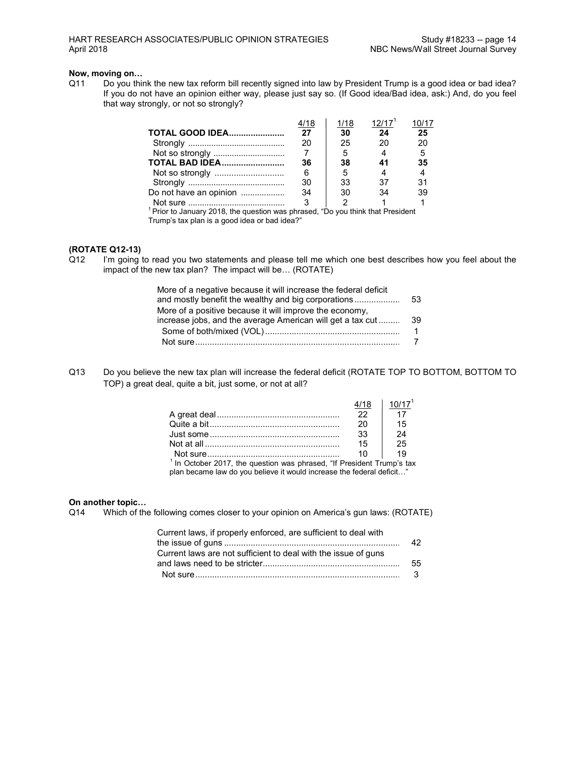## Now, moving on...<br>Q11 Do you this

Do you think the new tax reform bill recently signed into law by President Trump is a good idea or bad idea? If you do not have an opinion either way, please just say so. (If Good idea/Bad idea, ask:) And, do you feel that way strongly, or not so strongly?

|                        |    | 1/18 | $12/17$ <sup>1</sup> |    |
|------------------------|----|------|----------------------|----|
| <b>TOTAL GOOD IDEA</b> | 27 | 30   | 24                   | 25 |
|                        | 20 | 25   | 20                   | 20 |
| Not so strongly        |    | 5    |                      | 5  |
| <b>TOTAL BAD IDEA</b>  | 36 | 38   |                      | 35 |
| Not so strongly        | 6  | 5    |                      |    |
|                        | 30 | 33   | 37                   |    |
| Do not have an opinion | 34 | 30   | 34                   | 39 |
|                        | 3  |      |                      |    |

 $1$ Prior to January 2018, the question was phrased, "Do you think that President Trump's tax plan is a good idea or bad idea?"

#### (ROTATE Q12-13)

Q12 I'm going to read you two statements and please tell me which one best describes how you feel about the impact of the new tax plan? The impact will be… (ROTATE)

| More of a negative because it will increase the federal deficit |     |
|-----------------------------------------------------------------|-----|
| and mostly benefit the wealthy and big corporations             | 53  |
| More of a positive because it will improve the economy,         |     |
| increase jobs, and the average American will get a tax cut      | -39 |
|                                                                 | -1  |
|                                                                 |     |

Q13 Do you believe the new tax plan will increase the federal deficit (ROTATE TOP TO BOTTOM, BOTTOM TO TOP) a great deal, quite a bit, just some, or not at all?

|                                                                                                                                                                                                                                      | 4/18 | 10/17 <sup>1</sup> |
|--------------------------------------------------------------------------------------------------------------------------------------------------------------------------------------------------------------------------------------|------|--------------------|
|                                                                                                                                                                                                                                      | 22   | 17                 |
|                                                                                                                                                                                                                                      | 20   | 15                 |
| $Just some … … … … … … … … … … … … … … … … … … … … … … … … … … … … … … … …$                                                                                                                                                          | 33   | 24                 |
| Not at all <u>with a series and the series of the series of the series of the series of the series of the series of the series of the series of the series of the series of the series of the series of the series of the series</u> | 15   | 25                 |
|                                                                                                                                                                                                                                      | 10   | 19                 |
| <sup>1</sup> In October 2017, the question was phrased, "If President Trump's tax                                                                                                                                                    |      |                    |

plan became law do you believe it would increase the federal deficit…"

#### On another topic…

Q14 Which of the following comes closer to your opinion on America's gun laws: (ROTATE)

| Current laws, if properly enforced, are sufficient to deal with |    |
|-----------------------------------------------------------------|----|
|                                                                 |    |
| Current laws are not sufficient to deal with the issue of guns  |    |
|                                                                 | 55 |
|                                                                 |    |
|                                                                 |    |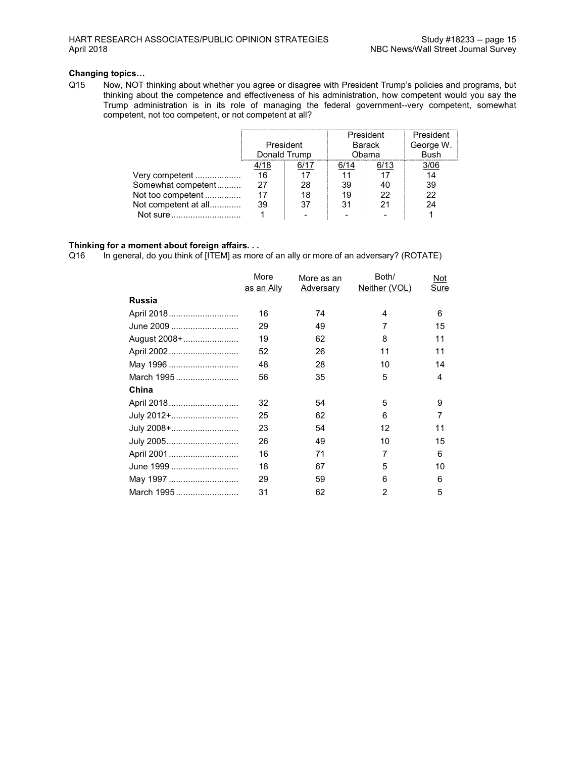### Changing topics…

Q15 Now, NOT thinking about whether you agree or disagree with President Trump's policies and programs, but thinking about the competence and effectiveness of his administration, how competent would you say the Trump administration is in its role of managing the federal government--very competent, somewhat competent, not too competent, or not competent at all?

|                      |              |           | President | President     |             |
|----------------------|--------------|-----------|-----------|---------------|-------------|
|                      |              | President |           | <b>Barack</b> | George W.   |
|                      | Donald Trump |           | Obama     |               | <b>Bush</b> |
|                      | <u>4/18</u>  | 6/17      | 6/14      | 6/13          | 3/06        |
| Very competent       | 16           | 17        | 11        | 17            | 14          |
| Somewhat competent   | 27           | 28        | 39        | 40            | 39          |
| Not too competent    | 17           | 18        | 19        | 22            | 22          |
| Not competent at all | 39           | 37        | 31        | 21            | 24          |
| Not sure             |              |           |           |               |             |

#### Thinking for a moment about foreign affairs. . .

Q16 In general, do you think of [ITEM] as more of an ally or more of an adversary? (ROTATE)

|               | More              | More as an       | Both/          | Not  |
|---------------|-------------------|------------------|----------------|------|
|               | <u>as an Ally</u> | <b>Adversary</b> | Neither (VOL)  | Sure |
| <b>Russia</b> |                   |                  |                |      |
| April 2018    | 16                | 74               | 4              | 6    |
| June 2009     | 29                | 49               | 7              | 15   |
| August 2008+  | 19                | 62               | 8              | 11   |
| April 2002    | 52                | 26               | 11             | 11   |
| May 1996      | 48                | 28               | 10             | 14   |
| March 1995    | 56                | 35               | 5              | 4    |
| China         |                   |                  |                |      |
| April 2018    | 32                | 54               | 5              | 9    |
| July 2012+    | 25                | 62               | 6              | 7    |
| July 2008+    | 23                | 54               | 12             | 11   |
| July 2005     | 26                | 49               | 10             | 15   |
| April 2001    | 16                | 71               | 7              | 6    |
| June 1999     | 18                | 67               | 5              | 10   |
| May 1997      | 29                | 59               | 6              | 6    |
| March 1995    | 31                | 62               | $\overline{2}$ | 5    |
|               |                   |                  |                |      |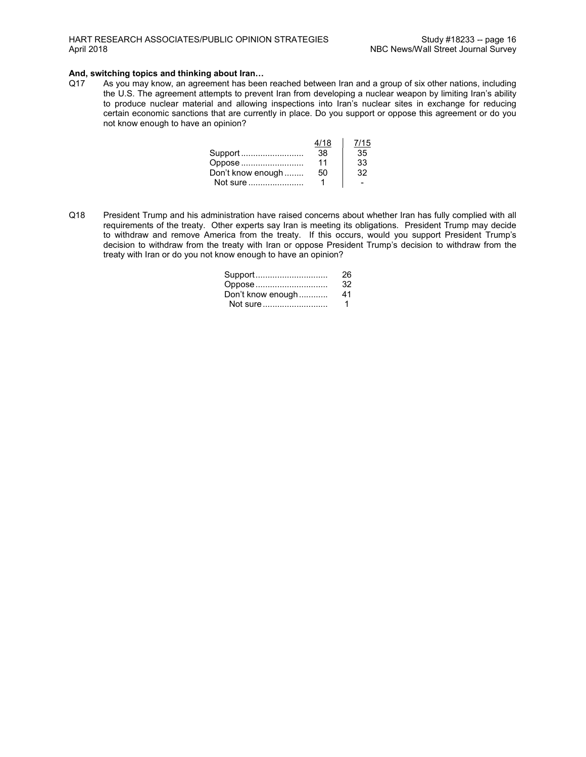## And, switching topics and thinking about Iran...<br>Q17 As you may know, an agreement has been

As you may know, an agreement has been reached between Iran and a group of six other nations, including the U.S. The agreement attempts to prevent Iran from developing a nuclear weapon by limiting Iran's ability to produce nuclear material and allowing inspections into Iran's nuclear sites in exchange for reducing certain economic sanctions that are currently in place. Do you support or oppose this agreement or do you not know enough to have an opinion?

|                   | 4/18 | 7/15 |
|-------------------|------|------|
| Support           | 38   | 35   |
| Oppose            | 11   | 33   |
| Don't know enough | 50   | 32   |
| Not sure          |      |      |

Q18 President Trump and his administration have raised concerns about whether Iran has fully complied with all requirements of the treaty. Other experts say Iran is meeting its obligations. President Trump may decide to withdraw and remove America from the treaty. If this occurs, would you support President Trump's decision to withdraw from the treaty with Iran or oppose President Trump's decision to withdraw from the treaty with Iran or do you not know enough to have an opinion?

| Support           | 26  |  |
|-------------------|-----|--|
| Oppose            | 32  |  |
| Don't know enough | -41 |  |
| Not sure          |     |  |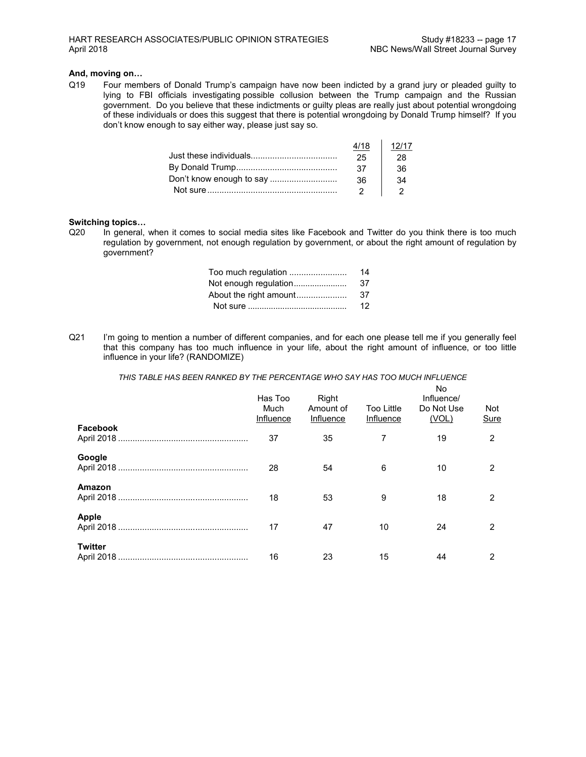### And, moving on…

Q19 Four members of Donald Trump's campaign have now been indicted by a grand jury or pleaded guilty to lying to FBI officials investigating possible collusion between the Trump campaign and the Russian government. Do you believe that these indictments or guilty pleas are really just about potential wrongdoing of these individuals or does this suggest that there is potential wrongdoing by Donald Trump himself? If you don't know enough to say either way, please just say so.

|                          | 4/18 | 12/17 |
|--------------------------|------|-------|
|                          | 25   | 28    |
|                          | -37  | 36.   |
| Don't know enough to say | 36   | 34    |
|                          |      |       |

#### Switching topics…

Q20 In general, when it comes to social media sites like Facebook and Twitter do you think there is too much regulation by government, not enough regulation by government, or about the right amount of regulation by government?

| Too much regulation    | 14              |
|------------------------|-----------------|
| Not enough regulation  | 37              |
| About the right amount | 37              |
|                        | 12 <sup>°</sup> |

Q21 I'm going to mention a number of different companies, and for each one please tell me if you generally feel that this company has too much influence in your life, about the right amount of influence, or too little influence in your life? (RANDOMIZE)

THIS TABLE HAS BEEN RANKED BY THE PERCENTAGE WHO SAY HAS TOO MUCH INFLUENCE

| Facebook       | Has Too<br>Much<br>Influence | Right<br>Amount of<br>Influence | <b>Too Little</b><br>Influence | <b>No</b><br>Influence/<br>Do Not Use<br>(VOL) | Not<br><u>Sure</u> |
|----------------|------------------------------|---------------------------------|--------------------------------|------------------------------------------------|--------------------|
|                | 37                           | 35                              | 7                              | 19                                             | 2                  |
| Google         | 28                           | 54                              | 6                              | 10                                             | 2                  |
| Amazon         | 18                           | 53                              | 9                              | 18                                             | 2                  |
| <b>Apple</b>   | 17                           | 47                              | 10                             | 24                                             | 2                  |
| <b>Twitter</b> | 16                           | 23                              | 15                             | 44                                             | 2                  |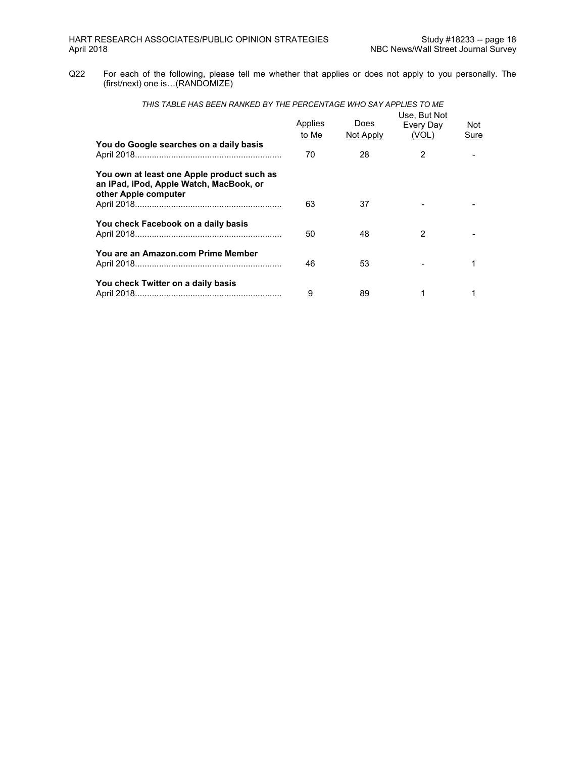Q22 For each of the following, please tell me whether that applies or does not apply to you personally. The (first/next) one is…(RANDOMIZE)

|                                                                                                               | Applies<br>to Me | Does<br>Not Apply | Use, But Not<br>Every Day<br>(VOL) | Not<br>Sure |
|---------------------------------------------------------------------------------------------------------------|------------------|-------------------|------------------------------------|-------------|
| You do Google searches on a daily basis                                                                       | 70               | 28                | $\mathcal{P}$                      |             |
| You own at least one Apple product such as<br>an iPad, iPod, Apple Watch, MacBook, or<br>other Apple computer |                  |                   |                                    |             |
|                                                                                                               | 63               | 37                |                                    |             |
| You check Facebook on a daily basis                                                                           | 50               | 48                | 2                                  |             |
| You are an Amazon.com Prime Member                                                                            | 46               | 53                |                                    |             |
| You check Twitter on a daily basis                                                                            | 9                | 89                |                                    |             |

THIS TABLE HAS BEEN RANKED BY THE PERCENTAGE WHO SAY APPLIES TO ME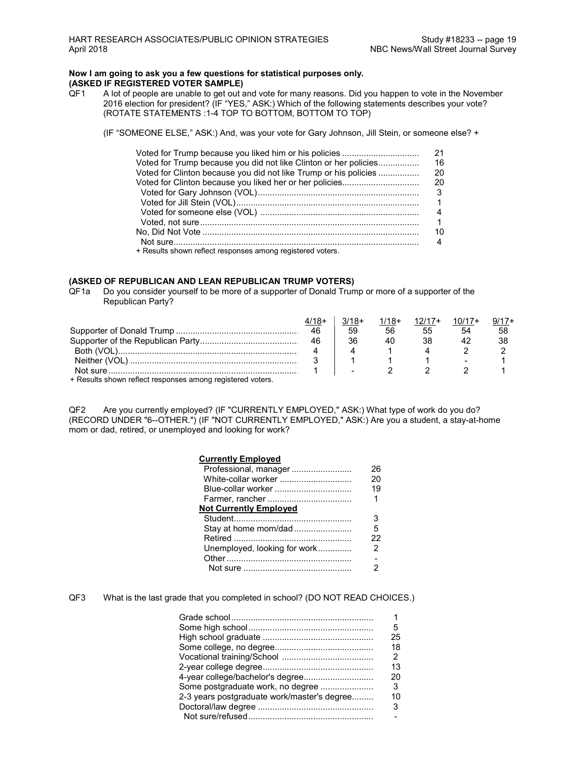#### Now I am going to ask you a few questions for statistical purposes only. (ASKED IF REGISTERED VOTER SAMPLE)

QF1 A lot of people are unable to get out and vote for many reasons. Did you happen to vote in the November 2016 election for president? (IF "YES," ASK:) Which of the following statements describes your vote? (ROTATE STATEMENTS :1-4 TOP TO BOTTOM, BOTTOM TO TOP)

(IF "SOMEONE ELSE," ASK:) And, was your vote for Gary Johnson, Jill Stein, or someone else? +

| Voted for Trump because you liked him or his policies            | 21 |
|------------------------------------------------------------------|----|
| Voted for Trump because you did not like Clinton or her policies | 16 |
| Voted for Clinton because you did not like Trump or his policies | 20 |
|                                                                  | 20 |
|                                                                  |    |
|                                                                  |    |
|                                                                  | 4  |
|                                                                  |    |
|                                                                  | 10 |
|                                                                  | 4  |
| + Results shown reflect responses among registered voters.       |    |

### (ASKED OF REPUBLICAN AND LEAN REPUBLICAN TRUMP VOTERS)

QF1a Do you consider yourself to be more of a supporter of Donald Trump or more of a supporter of the Republican Party?

|                                                            |    | $3/18+$ | 1/18+ |    |    |    |
|------------------------------------------------------------|----|---------|-------|----|----|----|
|                                                            | 46 | 59      | 56    | 55 | 54 | 58 |
|                                                            | 46 | 36      |       |    |    | 38 |
|                                                            |    |         |       |    |    |    |
|                                                            |    |         |       |    |    |    |
|                                                            |    |         |       |    |    |    |
| + Results shown reflect responses among registered voters. |    |         |       |    |    |    |

QF2 Are you currently employed? (IF "CURRENTLY EMPLOYED," ASK:) What type of work do you do? (RECORD UNDER "6--OTHER.") (IF "NOT CURRENTLY EMPLOYED," ASK:) Are you a student, a stay-at-home mom or dad, retired, or unemployed and looking for work?

| <b>Currently Employed</b>     |    |
|-------------------------------|----|
| Professional, manager         | 26 |
|                               | 20 |
| Blue-collar worker            | 19 |
|                               | 1  |
| <b>Not Currently Employed</b> |    |
|                               |    |
| Stay at home mom/dad          | 5  |
|                               | 22 |
| Unemployed, looking for work  | 2  |
|                               |    |
|                               |    |

QF3 What is the last grade that you completed in school? (DO NOT READ CHOICES.)

|                                             | 5  |
|---------------------------------------------|----|
|                                             | 25 |
|                                             | 18 |
|                                             | 2  |
|                                             | 13 |
| 4-year college/bachelor's degree            | 20 |
| Some postgraduate work, no degree           | 3  |
| 2-3 years postgraduate work/master's degree | 10 |
|                                             | 3  |
|                                             |    |